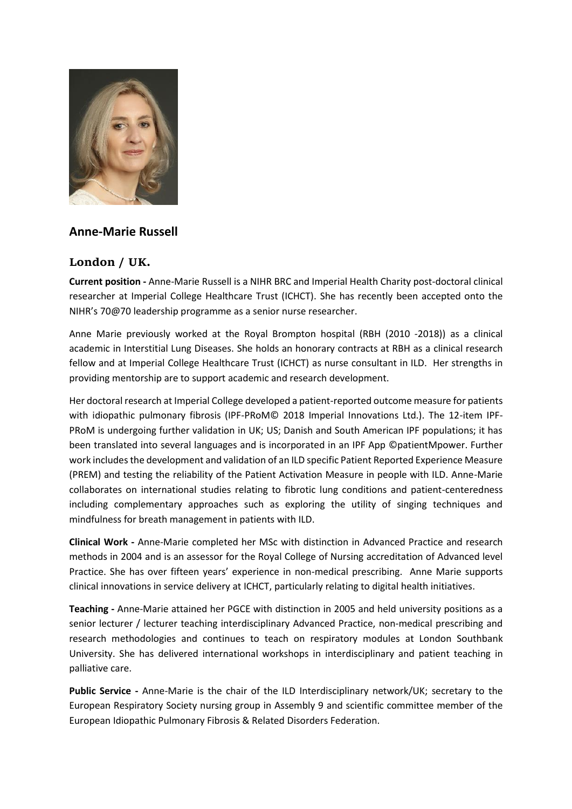

## **Anne-Marie Russell**

## **London / UK.**

**Current position -** Anne-Marie Russell is a NIHR BRC and Imperial Health Charity post-doctoral clinical researcher at Imperial College Healthcare Trust (ICHCT). She has recently been accepted onto the NIHR's 70@70 leadership programme as a senior nurse researcher.

Anne Marie previously worked at the Royal Brompton hospital (RBH (2010 -2018)) as a clinical academic in Interstitial Lung Diseases. She holds an honorary contracts at RBH as a clinical research fellow and at Imperial College Healthcare Trust (ICHCT) as nurse consultant in ILD. Her strengths in providing mentorship are to support academic and research development.

Her doctoral research at Imperial College developed a patient-reported outcome measure for patients with idiopathic pulmonary fibrosis (IPF-PRoM© 2018 Imperial Innovations Ltd.). The 12-item IPF-PRoM is undergoing further validation in UK; US; Danish and South American IPF populations; it has been translated into several languages and is incorporated in an IPF App ©patientMpower. Further work includes the development and validation of an ILD specific Patient Reported Experience Measure (PREM) and testing the reliability of the Patient Activation Measure in people with ILD. Anne-Marie collaborates on international studies relating to fibrotic lung conditions and patient-centeredness including complementary approaches such as exploring the utility of singing techniques and mindfulness for breath management in patients with ILD.

**Clinical Work -** Anne-Marie completed her MSc with distinction in Advanced Practice and research methods in 2004 and is an assessor for the Royal College of Nursing accreditation of Advanced level Practice. She has over fifteen years' experience in non-medical prescribing. Anne Marie supports clinical innovations in service delivery at ICHCT, particularly relating to digital health initiatives.

**Teaching -** Anne-Marie attained her PGCE with distinction in 2005 and held university positions as a senior lecturer / lecturer teaching interdisciplinary Advanced Practice, non-medical prescribing and research methodologies and continues to teach on respiratory modules at London Southbank University. She has delivered international workshops in interdisciplinary and patient teaching in palliative care.

**Public Service -** Anne-Marie is the chair of the ILD Interdisciplinary network/UK; secretary to the European Respiratory Society nursing group in Assembly 9 and scientific committee member of the European Idiopathic Pulmonary Fibrosis & Related Disorders Federation.